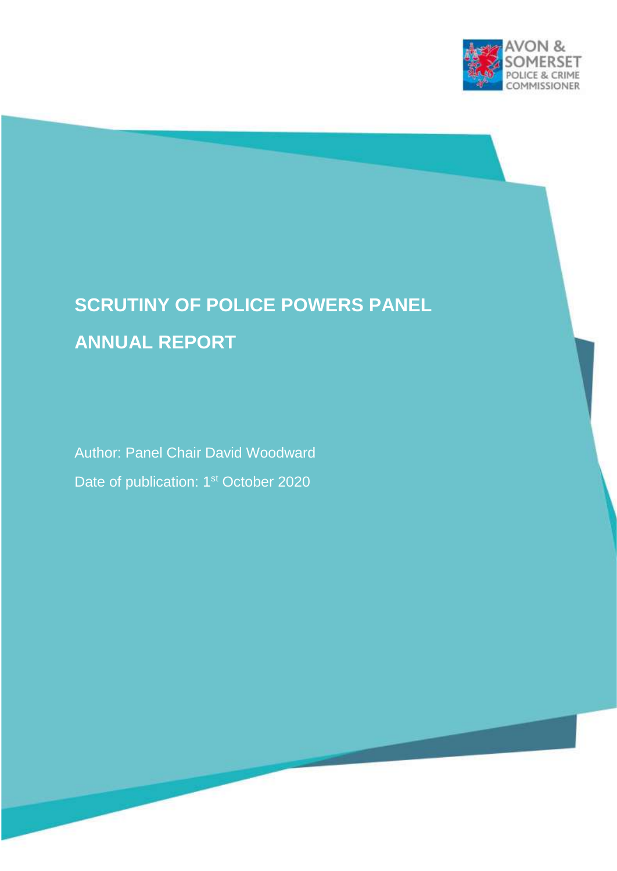

# **SCRUTINY OF POLICE POWERS PANEL ANNUAL REPORT**

Author: Panel Chair David Woodward Date of publication: 1<sup>st</sup> October 2020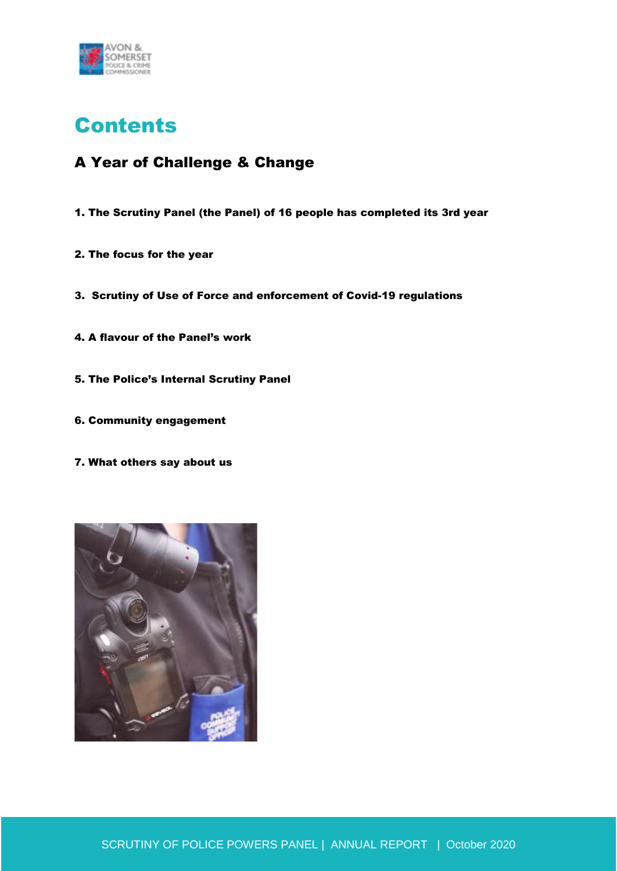

## **Contents**

## A Year of Challenge & Change

- 1. The Scrutiny Panel (the Panel) of 16 people has completed its 3rd year
- 2. The focus for the year
- 3. Scrutiny of Use of Force and enforcement of Covid-19 regulations
- 4. A flavour of the Panel's work
- 5. The Police's Internal Scrutiny Panel
- 6. Community engagement
- 7. What others say about us

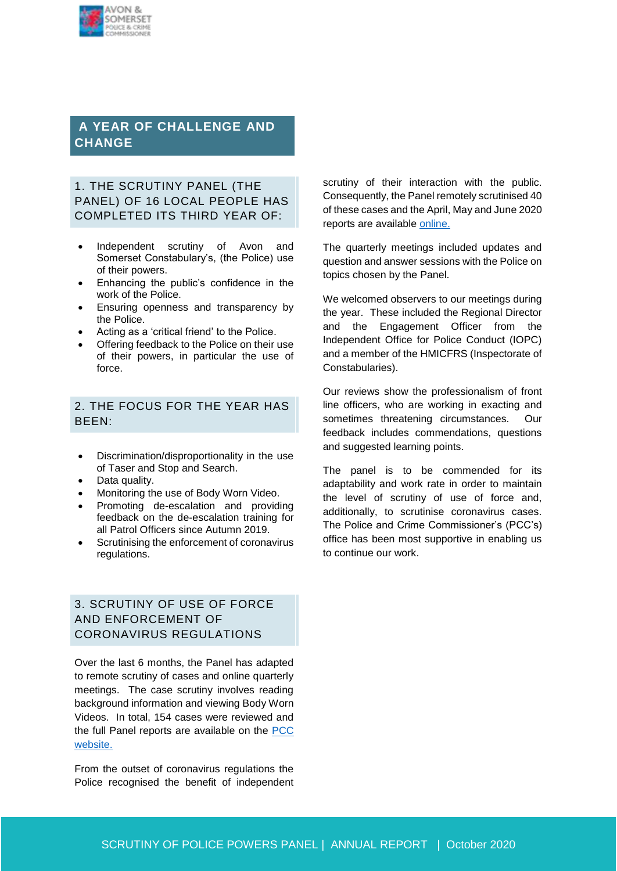

### **A YEAR OF CHALLENGE AND CHANGE**

#### 1. THE SCRUTINY PANEL (THE PANEL) OF 16 LOCAL PEOPLE HAS COMPLETED ITS THIRD YEAR OF:

- Independent scrutiny of Avon and Somerset Constabulary's, (the Police) use of their powers.
- Enhancing the public's confidence in the work of the Police.
- Ensuring openness and transparency by the Police.
- Acting as a 'critical friend' to the Police.
- Offering feedback to the Police on their use of their powers, in particular the use of force.

#### 2. THE FOCUS FOR THE YEAR HAS BEEN:

- Discrimination/disproportionality in the use of Taser and Stop and Search.
- Data quality.
- Monitoring the use of Body Worn Video.
- Promoting de-escalation and providing feedback on the de-escalation training for all Patrol Officers since Autumn 2019.
- Scrutinising the enforcement of coronavirus regulations.

#### 3. SCRUTINY OF USE OF FORCE AND ENFORCEMENT OF CORONAVIRUS REGULATIONS

Over the last 6 months, the Panel has adapted to remote scrutiny of cases and online quarterly meetings. The case scrutiny involves reading background information and viewing Body Worn Videos. In total, 154 cases were reviewed and the full Panel reports are available on the PCC [website.](https://www.avonandsomerset-pcc.gov.uk/reports-publications/scrutiny-police-powers-panel-reports/)

From the outset of coronavirus regulations the Police recognised the benefit of independent scrutiny of their interaction with the public. Consequently, the Panel remotely scrutinised 40 of these cases and the April, May and June 2020 reports are available [online.](https://www.avonandsomerset-pcc.gov.uk/reports-publications/scrutiny-police-powers-panel-reports/)

The quarterly meetings included updates and question and answer sessions with the Police on topics chosen by the Panel.

We welcomed observers to our meetings during the year. These included the Regional Director and the Engagement Officer from the Independent Office for Police Conduct (IOPC) and a member of the HMICFRS (Inspectorate of Constabularies).

Our reviews show the professionalism of front line officers, who are working in exacting and sometimes threatening circumstances. Our feedback includes commendations, questions and suggested learning points.

The panel is to be commended for its adaptability and work rate in order to maintain the level of scrutiny of use of force and, additionally, to scrutinise coronavirus cases. The Police and Crime Commissioner's (PCC's) office has been most supportive in enabling us to continue our work.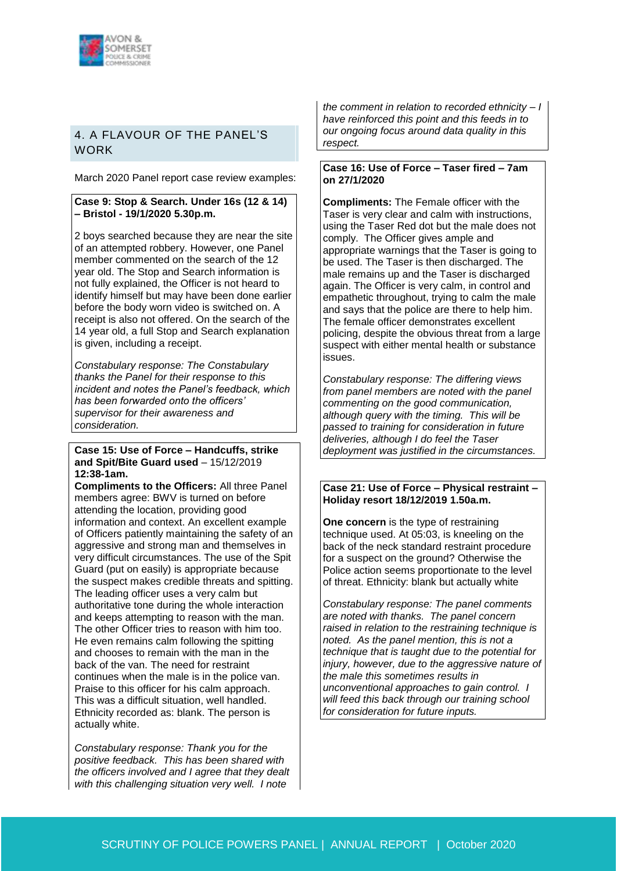

#### 4. A FLAVOUR OF THE PANEL'S **WORK**

March 2020 Panel report case review examples:

#### **Case 9: Stop & Search. Under 16s (12 & 14) – Bristol - 19/1/2020 5.30p.m.**

2 boys searched because they are near the site of an attempted robbery. However, one Panel member commented on the search of the 12 year old. The Stop and Search information is not fully explained, the Officer is not heard to identify himself but may have been done earlier before the body worn video is switched on. A receipt is also not offered. On the search of the 14 year old, a full Stop and Search explanation is given, including a receipt.

*Constabulary response: The Constabulary thanks the Panel for their response to this incident and notes the Panel's feedback, which has been forwarded onto the officers' supervisor for their awareness and consideration.*

#### **Case 15: Use of Force – Handcuffs, strike and Spit/Bite Guard used** – 15/12/2019 **12:38-1am.**

**Compliments to the Officers:** All three Panel members agree: BWV is turned on before attending the location, providing good information and context. An excellent example of Officers patiently maintaining the safety of an aggressive and strong man and themselves in very difficult circumstances. The use of the Spit Guard (put on easily) is appropriate because the suspect makes credible threats and spitting. The leading officer uses a very calm but authoritative tone during the whole interaction and keeps attempting to reason with the man. The other Officer tries to reason with him too. He even remains calm following the spitting and chooses to remain with the man in the back of the van. The need for restraint continues when the male is in the police van. Praise to this officer for his calm approach. This was a difficult situation, well handled. Ethnicity recorded as: blank. The person is actually white.

*Constabulary response: Thank you for the positive feedback. This has been shared with the officers involved and I agree that they dealt with this challenging situation very well. I note* 

*the comment in relation to recorded ethnicity – I have reinforced this point and this feeds in to our ongoing focus around data quality in this respect.*

#### **Case 16: Use of Force – Taser fired – 7am on 27/1/2020**

**Compliments:** The Female officer with the Taser is very clear and calm with instructions, using the Taser Red dot but the male does not comply. The Officer gives ample and appropriate warnings that the Taser is going to be used. The Taser is then discharged. The male remains up and the Taser is discharged again. The Officer is very calm, in control and empathetic throughout, trying to calm the male and says that the police are there to help him. The female officer demonstrates excellent policing, despite the obvious threat from a large suspect with either mental health or substance issues.

*Constabulary response: The differing views from panel members are noted with the panel commenting on the good communication, although query with the timing. This will be passed to training for consideration in future deliveries, although I do feel the Taser deployment was justified in the circumstances.*

#### **Case 21: Use of Force – Physical restraint – Holiday resort 18/12/2019 1.50a.m.**

**One concern** is the type of restraining technique used. At 05:03, is kneeling on the back of the neck standard restraint procedure for a suspect on the ground? Otherwise the Police action seems proportionate to the level of threat. Ethnicity: blank but actually white

*Constabulary response: The panel comments are noted with thanks. The panel concern raised in relation to the restraining technique is noted. As the panel mention, this is not a technique that is taught due to the potential for injury, however, due to the aggressive nature of the male this sometimes results in unconventional approaches to gain control. I will feed this back through our training school for consideration for future inputs.*